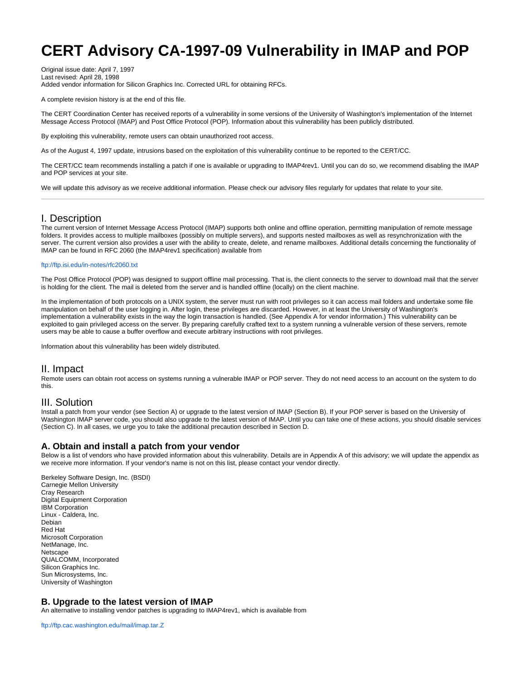# **CERT Advisory CA-1997-09 Vulnerability in IMAP and POP**

Original issue date: April 7, 1997 Last revised: April 28, 1998 Added vendor information for Silicon Graphics Inc. Corrected URL for obtaining RFCs.

A complete revision history is at the end of this file.

The CERT Coordination Center has received reports of a vulnerability in some versions of the University of Washington's implementation of the Internet Message Access Protocol (IMAP) and Post Office Protocol (POP). Information about this vulnerability has been publicly distributed.

By exploiting this vulnerability, remote users can obtain unauthorized root access.

As of the August 4, 1997 update, intrusions based on the exploitation of this vulnerability continue to be reported to the CERT/CC.

The CERT/CC team recommends installing a patch if one is available or upgrading to IMAP4rev1. Until you can do so, we recommend disabling the IMAP and POP services at your site.

We will update this advisory as we receive additional information. Please check our advisory files regularly for updates that relate to your site.

## I. Description

The current version of Internet Message Access Protocol (IMAP) supports both online and offline operation, permitting manipulation of remote message folders. It provides access to multiple mailboxes (possibly on multiple servers), and supports nested mailboxes as well as resynchronization with the server. The current version also provides a user with the ability to create, delete, and rename mailboxes. Additional details concerning the functionality of IMAP can be found in RFC 2060 (the IMAP4rev1 specification) available from

#### <ftp://ftp.isi.edu/in-notes/rfc2060.txt>

The Post Office Protocol (POP) was designed to support offline mail processing. That is, the client connects to the server to download mail that the server is holding for the client. The mail is deleted from the server and is handled offline (locally) on the client machine.

In the implementation of both protocols on a UNIX system, the server must run with root privileges so it can access mail folders and undertake some file manipulation on behalf of the user logging in. After login, these privileges are discarded. However, in at least the University of Washington's implementation a vulnerability exists in the way the login transaction is handled. (See Appendix A for vendor information.) This vulnerability can be exploited to gain privileged access on the server. By preparing carefully crafted text to a system running a vulnerable version of these servers, remote users may be able to cause a buffer overflow and execute arbitrary instructions with root privileges.

Information about this vulnerability has been widely distributed.

## II. Impact

Remote users can obtain root access on systems running a vulnerable IMAP or POP server. They do not need access to an account on the system to do this.

## III. Solution

Install a patch from your vendor (see Section A) or upgrade to the latest version of IMAP (Section B). If your POP server is based on the University of Washington IMAP server code, you should also upgrade to the latest version of IMAP. Until you can take one of these actions, you should disable services (Section C). In all cases, we urge you to take the additional precaution described in Section D.

## **A. Obtain and install a patch from your vendor**

Below is a list of vendors who have provided information about this vulnerability. Details are in Appendix A of this advisory; we will update the appendix as we receive more information. If your vendor's name is not on this list, please contact your vendor directly.

Berkeley Software Design, Inc. (BSDI) Carnegie Mellon University Cray Research Digital Equipment Corporation IBM Corporation Linux - Caldera, Inc. Debian Red Hat Microsoft Corporation NetManage, Inc. Netscape QUALCOMM, Incorporated Silicon Graphics Inc. Sun Microsystems, Inc. University of Washington

## **B. Upgrade to the latest version of IMAP**

An alternative to installing vendor patches is upgrading to IMAP4rev1, which is available from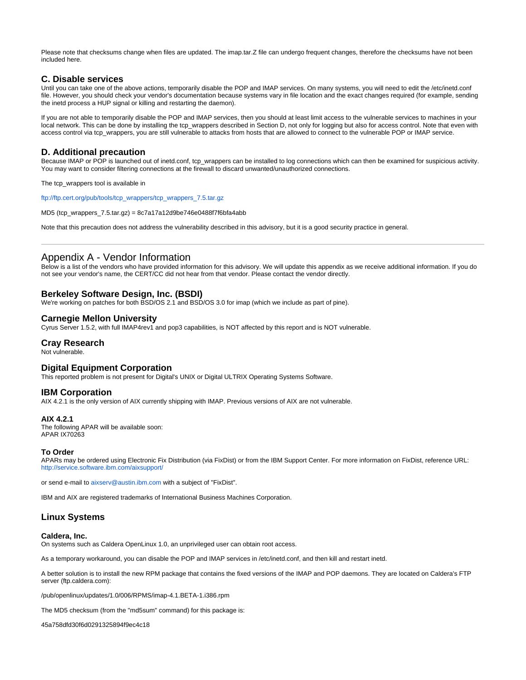Please note that checksums change when files are updated. The imap.tar.Z file can undergo frequent changes, therefore the checksums have not been included here.

## **C. Disable services**

Until you can take one of the above actions, temporarily disable the POP and IMAP services. On many systems, you will need to edit the /etc/inetd.conf file. However, you should check your vendor's documentation because systems vary in file location and the exact changes required (for example, sending the inetd process a HUP signal or killing and restarting the daemon).

If you are not able to temporarily disable the POP and IMAP services, then you should at least limit access to the vulnerable services to machines in your local network. This can be done by installing the tcp\_wrappers described in Section D, not only for logging but also for access control. Note that even with access control via tcp\_wrappers, you are still vulnerable to attacks from hosts that are allowed to connect to the vulnerable POP or IMAP service.

## **D. Additional precaution**

Because IMAP or POP is launched out of inetd.conf, tcp\_wrappers can be installed to log connections which can then be examined for suspicious activity. You may want to consider filtering connections at the firewall to discard unwanted/unauthorized connections.

The tcp\_wrappers tool is available in

[ftp://ftp.cert.org/pub/tools/tcp\\_wrappers/tcp\\_wrappers\\_7.5.tar.gz](ftp://ftp.cert.org/pub/tools/tcp_wrappers/tcp_wrappers_7.5.tar.gz)

MD5 (tcp\_wrappers\_7.5.tar.gz) = 8c7a17a12d9be746e0488f7f6bfa4abb

Note that this precaution does not address the vulnerability described in this advisory, but it is a good security practice in general.

# Appendix A - Vendor Information

Below is a list of the vendors who have provided information for this advisory. We will update this appendix as we receive additional information. If you do not see your vendor's name, the CERT/CC did not hear from that vendor. Please contact the vendor directly.

## **Berkeley Software Design, Inc. (BSDI)**

We're working on patches for both BSD/OS 2.1 and BSD/OS 3.0 for imap (which we include as part of pine).

## **Carnegie Mellon University**

Cyrus Server 1.5.2, with full IMAP4rev1 and pop3 capabilities, is NOT affected by this report and is NOT vulnerable.

## **Cray Research**

Not vulnerable.

## **Digital Equipment Corporation**

This reported problem is not present for Digital's UNIX or Digital ULTRIX Operating Systems Software.

## **IBM Corporation**

AIX 4.2.1 is the only version of AIX currently shipping with IMAP. Previous versions of AIX are not vulnerable.

## **AIX 4.2.1**

The following APAR will be available soon: APAR IX70263

#### **To Order**

APARs may be ordered using Electronic Fix Distribution (via FixDist) or from the IBM Support Center. For more information on FixDist, reference URL: <http://service.software.ibm.com/aixsupport/>

or send e-mail to [aixserv@austin.ibm.com](mailto:aixserv@austin.ibm.com) with a subject of "FixDist".

IBM and AIX are registered trademarks of International Business Machines Corporation.

## **Linux Systems**

#### **Caldera, Inc.**

On systems such as Caldera OpenLinux 1.0, an unprivileged user can obtain root access.

As a temporary workaround, you can disable the POP and IMAP services in /etc/inetd.conf, and then kill and restart inetd.

A better solution is to install the new RPM package that contains the fixed versions of the IMAP and POP daemons. They are located on Caldera's FTP server (ftp.caldera.com):

/pub/openlinux/updates/1.0/006/RPMS/imap-4.1.BETA-1.i386.rpm

The MD5 checksum (from the "md5sum" command) for this package is:

45a758dfd30f6d0291325894f9ec4c18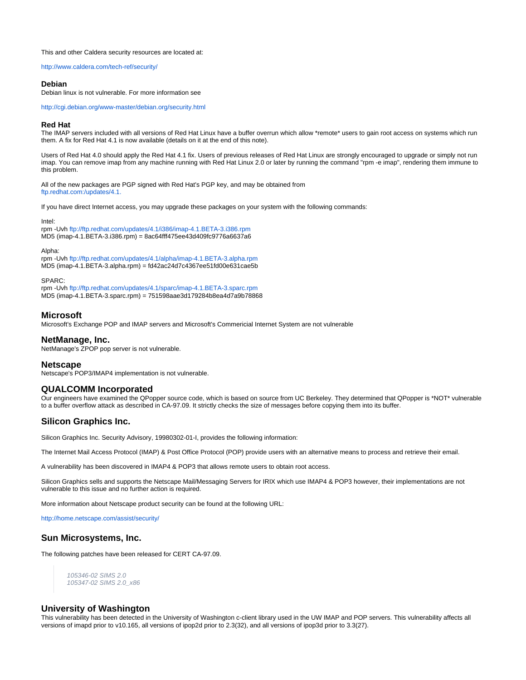This and other Caldera security resources are located at:

<http://www.caldera.com/tech-ref/security/>

#### **Debian**

Debian linux is not vulnerable. For more information see

<http://cgi.debian.org/www-master/debian.org/security.html>

#### **Red Hat**

The IMAP servers included with all versions of Red Hat Linux have a buffer overrun which allow \*remote\* users to gain root access on systems which run them. A fix for Red Hat 4.1 is now available (details on it at the end of this note).

Users of Red Hat 4.0 should apply the Red Hat 4.1 fix. Users of previous releases of Red Hat Linux are strongly encouraged to upgrade or simply not run imap. You can remove imap from any machine running with Red Hat Linux 2.0 or later by running the command "rpm -e imap", rendering them immune to this problem.

All of the new packages are PGP signed with Red Hat's PGP key, and may be obtained from [ftp.redhat.com:/updates/4.1.](ftp://ftp.redhat.com:/updates/4.1.)

If you have direct Internet access, you may upgrade these packages on your system with the following commands:

Intel:

rpm -Uvh <ftp://ftp.redhat.com/updates/4.1/i386/imap-4.1.BETA-3.i386.rpm> MD5 (imap-4.1.BETA-3.i386.rpm) = 8ac64fff475ee43d409fc9776a6637a6

Alpha:

rpm -Uvh <ftp://ftp.redhat.com/updates/4.1/alpha/imap-4.1.BETA-3.alpha.rpm> MD5 (imap-4.1.BETA-3.alpha.rpm) = fd42ac24d7c4367ee51fd00e631cae5b

SPARC:

rpm -Uvh <ftp://ftp.redhat.com/updates/4.1/sparc/imap-4.1.BETA-3.sparc.rpm> MD5 (imap-4.1.BETA-3.sparc.rpm) = 751598aae3d179284b8ea4d7a9b78868

## **Microsoft**

Microsoft's Exchange POP and IMAP servers and Microsoft's Commericial Internet System are not vulnerable

## **NetManage, Inc.**

NetManage's ZPOP pop server is not vulnerable.

## **Netscape**

Netscape's POP3/IMAP4 implementation is not vulnerable.

## **QUALCOMM Incorporated**

Our engineers have examined the QPopper source code, which is based on source from UC Berkeley. They determined that QPopper is \*NOT\* vulnerable to a buffer overflow attack as described in CA-97.09. It strictly checks the size of messages before copying them into its buffer.

## **Silicon Graphics Inc.**

Silicon Graphics Inc. Security Advisory, 19980302-01-I, provides the following information:

The Internet Mail Access Protocol (IMAP) & Post Office Protocol (POP) provide users with an alternative means to process and retrieve their email.

A vulnerability has been discovered in IMAP4 & POP3 that allows remote users to obtain root access.

Silicon Graphics sells and supports the Netscape Mail/Messaging Servers for IRIX which use IMAP4 & POP3 however, their implementations are not vulnerable to this issue and no further action is required.

More information about Netscape product security can be found at the following URL:

<http://home.netscape.com/assist/security/>

## **Sun Microsystems, Inc.**

The following patches have been released for CERT CA-97.09.

105346-02 SIMS 2.0 105347-02 SIMS 2.0\_x86

## **University of Washington**

This vulnerability has been detected in the University of Washington c-client library used in the UW IMAP and POP servers. This vulnerability affects all versions of imapd prior to v10.165, all versions of ipop2d prior to 2.3(32), and all versions of ipop3d prior to 3.3(27).